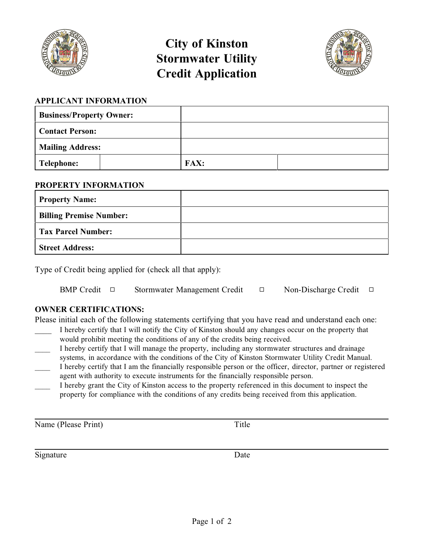

# **City of Kinston Stormwater Utility Credit Application**



## **APPLICANT INFORMATION**

| <b>Business/Property Owner:</b> |  |             |  |
|---------------------------------|--|-------------|--|
| <b>Contact Person:</b>          |  |             |  |
| <b>Mailing Address:</b>         |  |             |  |
| Telephone:                      |  | <b>FAX:</b> |  |

## **PROPERTY INFORMATION**

| <b>Property Name:</b>          |  |
|--------------------------------|--|
| <b>Billing Premise Number:</b> |  |
| <b>Tax Parcel Number:</b>      |  |
| <b>Street Address:</b>         |  |

Type of Credit being applied for (check all that apply):

| <b>BMP</b> Credit $\Box$ | Stormwater Management Credit | Non-Discharge Credit $\Box$ |  |
|--------------------------|------------------------------|-----------------------------|--|
|                          |                              |                             |  |

# **OWNER CERTIFICATIONS:**

Please initial each of the following statements certifying that you have read and understand each one:

- I hereby certify that I will notify the City of Kinston should any changes occur on the property that would prohibit meeting the conditions of any of the credits being received.
- \_\_\_\_ I hereby certify that I will manage the property, including any stormwater structures and drainage systems, in accordance with the conditions of the City of Kinston Stormwater Utility Credit Manual.
- \_\_\_\_ I hereby certify that I am the financially responsible person or the officer, director, partner or registered agent with authority to execute instruments for the financially responsible person.
- \_\_\_\_ I hereby grant the City of Kinston access to the property referenced in this document to inspect the property for compliance with the conditions of any credits being received from this application.

Name (Please Print) Title

Signature Date